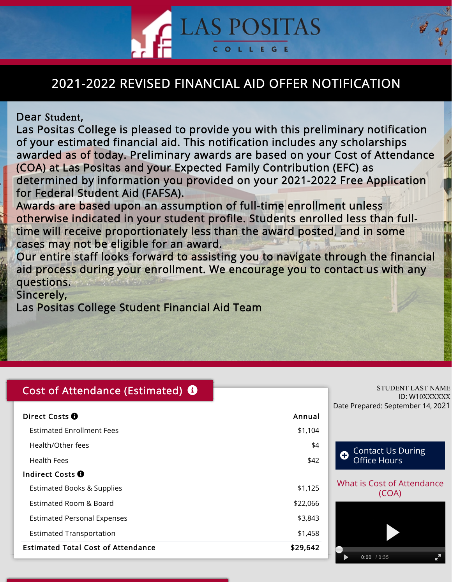## 2021-2022 REVISED FINANCIAL AID OFFER NOTIFICATION

**SPOSITAS** 

OLLEGE

#### Dear Student,

Las Positas College is pleased to provide you with this preliminary notification of your estimated financial aid. This notification includes any scholarships awarded as of today. Preliminary awards are based on your Cost of Attendance (COA) at Las Positas and your Expected Family Contribution (EFC) as determined by information you provided on your 2021-2022 Free Application for Federal Student Aid (FAFSA).

Awards are based upon an assumption of full-time enrollment unless otherwise indicated in your student profile. Students enrolled less than fulltime will receive proportionately less than the award posted, and in some cases may not be eligible for an award.

Our entire staff looks forward to assisting you to navigate through the financial aid process during your enrollment. We encourage you to contact us with any questions.

Sincerely,

Las Positas College Student Financial Aid Team

#### Cost of Attendance (Estimated) **O**

| Direct Costs <sup>O</sup>                 | Annual   |
|-------------------------------------------|----------|
| <b>Estimated Enrollment Fees</b>          | \$1,104  |
| Health/Other fees                         | \$4      |
| Health Fees                               | \$42     |
| Indirect Costs <b>O</b>                   |          |
| <b>Estimated Books &amp; Supplies</b>     | \$1,125  |
| Estimated Room & Board                    | \$22,066 |
| <b>Estimated Personal Expenses</b>        | \$3,843  |
| <b>Estimated Transportation</b>           | \$1,458  |
| <b>Estimated Total Cost of Attendance</b> | \$29,642 |

## ID: W10XXXXXX Date Prepared: September 14, 2021

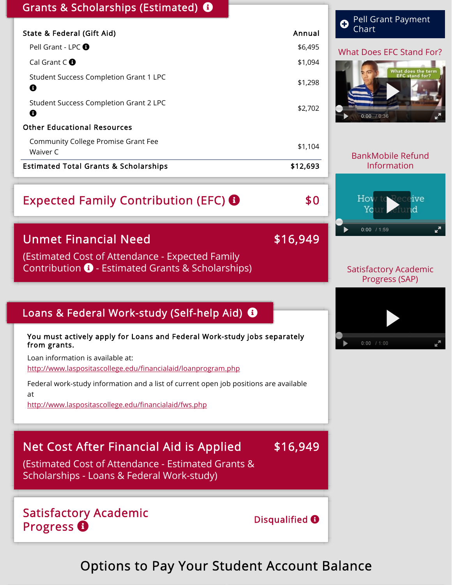#### Grants & Scholarships (Estimated)  $\bullet$

| <b>Estimated Total Grants &amp; Scholarships</b> | \$12,693 |
|--------------------------------------------------|----------|
| Community College Promise Grant Fee<br>Waiver C  | \$1,104  |
| <b>Other Educational Resources</b>               |          |
| Student Success Completion Grant 2 LPC<br>Ø      | \$2,702  |
| Student Success Completion Grant 1 LPC<br>Ø      | \$1,298  |
| Cal Grant $C$ $\bullet$                          | \$1,094  |
| Pell Grant - LPC $\Theta$                        | \$6,495  |
| State & Federal (Gift Aid)                       | Annual   |

# Expected Family Contribution (EFC) **8** \$0

## Unmet Financial Need **\$16,949**

(Estimated Cost of Attendance - Expected Family Contribution  $\bigoplus$  - Estimated Grants & Scholarships)

#### Loans & Federal Work-study (Self-help Aid)  $\bullet$

You must actively apply for Loans and Federal Work-study jobs separately from grants.

Loan information is available at:

<http://www.laspositascollege.edu/financialaid/loanprogram.php>

Federal work-study information and a list of current open job positions are available at

<http://www.laspositascollege.edu/financialaid/fws.php>

## Net Cost After Financial Aid is Applied \$16,949

(Estimated Cost of Attendance - Estimated Grants & Scholarships - Loans & Federal Work-study)

Satisfactory Academic Progress **O** 

Disqualified  $\boldsymbol{\Theta}$ 

Satisfactory Academic Progress (SAP)

What Does EFC Stand For?

 $\boldsymbol{\Theta}$  Pell Grant Payment

**Chart** 

BankMobile Refund Information

 $\sum_{\text{fun}}$ 

0:00 / 1:59

0:00 / 0:36

Hov

 $\blacktriangleright$  1



Options to Pay Your Student Account Balance